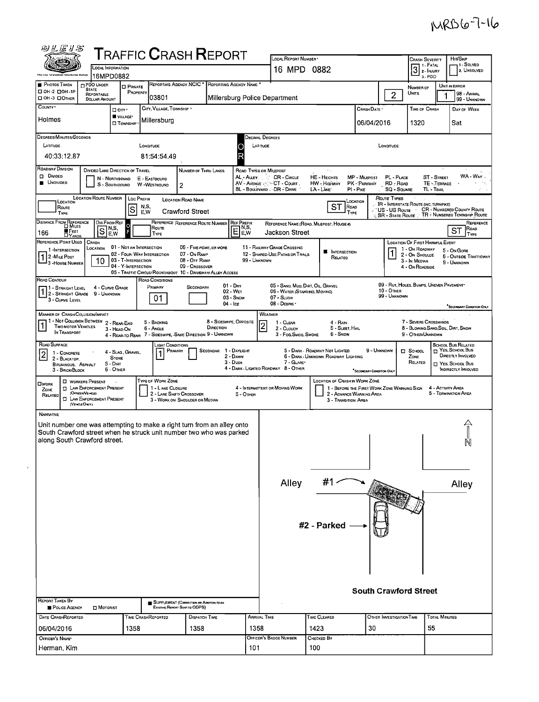## MRB6-7-16

| 砂兰运り台                                                                                               |                                                                         |                                  | <b>TRAFFIC CRASH REPORT</b>                                              |                                                                           |                         |                                                 | LOCAL REPORT NUMBER                                                                  |                                                                               |                                                 |                                        | <b>CRASH SEVERITY</b>                                  |                                               | HIT/SKIP                                                    |
|-----------------------------------------------------------------------------------------------------|-------------------------------------------------------------------------|----------------------------------|--------------------------------------------------------------------------|---------------------------------------------------------------------------|-------------------------|-------------------------------------------------|--------------------------------------------------------------------------------------|-------------------------------------------------------------------------------|-------------------------------------------------|----------------------------------------|--------------------------------------------------------|-----------------------------------------------|-------------------------------------------------------------|
| <b>Ship Lew Enfort</b>                                                                              |                                                                         | LOCAL INFORMATION<br>16MPD0882   |                                                                          |                                                                           |                         |                                                 | 16 MPD 0882                                                                          |                                                                               |                                                 |                                        | 3                                                      | 3-PDO                                         | 1 - Solved<br>2. UNSOLVED                                   |
| PHOTOS TAKEN<br>□ ОН-2 □ ОН-1Р                                                                      | <b>DPDO UNDER</b><br><b>STATE</b>                                       | <b>O</b> PRIVATE<br>PROPERTY     |                                                                          | REPORTING AGENCY NCIC * REPORTING AGENCY NAME *                           |                         |                                                 |                                                                                      |                                                                               |                                                 |                                        | NUMBER OF<br>Units                                     |                                               | UNIT IN ERROR<br>98 - ANIMAL                                |
| OH-3 DOTHER                                                                                         | REPORTABLE<br><b>DOLLAR AMOUNT</b>                                      |                                  | 03801                                                                    |                                                                           |                         |                                                 | Millersburg Police Department                                                        |                                                                               |                                                 | $\overline{c}$                         |                                                        |                                               | 99 - UNKNOWN                                                |
| COUNTY '<br>Holmes                                                                                  |                                                                         | $\Box$ City $\cdot$<br>VILLAGE*  | CITY, VILLAGE, TOWNSHIP .                                                |                                                                           |                         |                                                 |                                                                                      |                                                                               | CRASH DATE *                                    |                                        | TIME OF CRASH                                          |                                               | DAY OF WEEK                                                 |
|                                                                                                     |                                                                         | <b>D</b> TOWNSHIP                | Millersburg                                                              |                                                                           |                         |                                                 |                                                                                      |                                                                               | 06/04/2016                                      |                                        | 1320                                                   |                                               | Sat                                                         |
| <b>DEGREES/MINUTES/SECONDS</b><br>LATITUDE                                                          |                                                                         |                                  |                                                                          |                                                                           |                         |                                                 | Decimal Degrees<br>LATITUDE                                                          |                                                                               |                                                 |                                        |                                                        |                                               |                                                             |
| 40:33:12.87                                                                                         |                                                                         |                                  | LONGITUDE<br>81:54:54.49                                                 |                                                                           |                         | Ο<br>$\overline{\mathsf{R}}$                    |                                                                                      |                                                                               |                                                 | Longitude                              |                                                        |                                               |                                                             |
| <b>ROADWAY DIVISION</b><br>D Divideo                                                                |                                                                         | DIVIDED LANE DIRECTION OF TRAVEL |                                                                          | NUMBER OF THRU LANES                                                      |                         |                                                 | ROAD TYPES OR MILEPOST                                                               | $\sim 10$                                                                     |                                                 |                                        |                                                        |                                               | WA - WAY                                                    |
| <b>UNOIVIDED</b>                                                                                    |                                                                         | N - NORTHBOUND<br>S - SOUTHBOUND | E - EASTBOUND<br>W -WESTBOUND                                            | $\overline{2}$                                                            |                         |                                                 | AL - ALLEY. CR - CIRCLE<br>AV - AVENUE < VCT - COURT.<br>BL - BOULEVARD - DR - DRIVE | <b>HE-HEIGHTS</b><br><b>HW</b> - Highway<br>LA - LANE                         | MP - MILEPOST<br>PK - PARKWAY<br>$PI - P_{IKE}$ | PL - PLACE<br>RD - Roap<br>SQ - SQUARE |                                                        | <b>ST - STREET</b><br>TE - TERRACE<br>TL TRAL |                                                             |
| <b>LOCATION</b><br>ROUTE                                                                            | <b>LOCATION ROUTE NUMBER</b>                                            |                                  | <b>Loc PREFIX</b><br>N,S,                                                | <b>LOCATION ROAD NAME</b>                                                 |                         |                                                 |                                                                                      | LOCATION<br>ST<br>ROAD                                                        |                                                 | Route Types                            | <b>IR - INTERSTATE ROUTE (INC. TURNPIKE)</b>           |                                               |                                                             |
| TYPE                                                                                                |                                                                         | S                                | E.W                                                                      | <b>Crawford Street</b>                                                    |                         |                                                 |                                                                                      | TYPE                                                                          |                                                 | 'US - US Route                         | SR - STATE ROUTE & TR - NUMBERED TOWNSHIP ROUTE        |                                               | CR - NUMBERED COUNTY ROUTE                                  |
| DISTANCE FROM REFERENCE<br><b>EFFEET</b><br>166<br><b>TYARDS</b>                                    | $S_{\text{FW}}^{\text{NS}}$                                             | DIR FROM REF<br>$\circ$<br>E,W   | Route<br>TYPE                                                            | REFERENCE REFERENCE ROUTE NUMBER                                          |                         | <b>REF PREFIX</b><br>$E_{\text{F}}^{\text{NS}}$ | Jackson Street                                                                       | REFERENCE NAME (ROAD, MILEPOST, HOUSE #)                                      |                                                 |                                        |                                                        |                                               | REFERENCE<br>ROAD<br>ST<br><b>TYPE</b>                      |
| REFERENCE POINT USED<br>1-INTERSECTION                                                              | CRASH<br>Location                                                       | 01 - NOT AN INTERSECTION         |                                                                          | 06 - FIVE-POINT, OR MORE                                                  |                         |                                                 | 11 - RAILWAY GRAOE CROSSING                                                          |                                                                               |                                                 |                                        | LOCATION OF FIRST HARMFUL EVENT<br>1 - On Roadway      |                                               |                                                             |
| 1 2 - MILE POST<br><sup>1</sup> 3 - House Number                                                    | 10                                                                      | 03 - T-INTERSECTION              | 02 - FOUR WAY INTERSECTION                                               | 07 - On RAMP<br>08 - OFF RAMP                                             |                         | 99 - UNKNOWN                                    | 12 - SHARED-USE PATHS OR TRAILS                                                      | <b>NE INTERSECTION</b><br>RELATED                                             |                                                 |                                        | 2 - On Shoulde<br>3 - In Median                        |                                               | 5 - On Gore<br><b>6 - OUTSIDE TRAFFICWAY</b><br>9 - UNKNOWN |
|                                                                                                     |                                                                         | 04 - Y-INTERSECTION              | 05 - TRAFFIC CIRCLE/ ROUNDABOUT 10 - DRIVEWAY/ ALLEY ACCESS              | 09 - Crossover                                                            |                         |                                                 |                                                                                      |                                                                               |                                                 |                                        | 4 - On ROADSIDE                                        |                                               |                                                             |
| ROAD CONTOUR<br>71 - Straight Level                                                                 |                                                                         | 4 - CURVE GRADE                  | ROAD CONDITIONS<br>PRIMARY                                               | SECONDARY                                                                 | $01 - \text{Dry}$       |                                                 | 05 - SAND, MUO, DIRT, OIL, GRAVEL                                                    |                                                                               |                                                 |                                        | 09 - RUT, HOLES, BUMPS, UNEVEN PAVEMENT*               |                                               |                                                             |
| 1 2 - STRAIGHT GRADE 9 - UNKNOWN<br>3 - CURVE LEVEL                                                 |                                                                         |                                  | 01                                                                       |                                                                           | 02 - WET                | $03 -$ Snow                                     | 06 - WATER (STANDING, MOVING)<br>07 - SLUSH                                          |                                                                               |                                                 | <b>10 - OTHER</b><br>99 - UNKNOWN      |                                                        |                                               |                                                             |
|                                                                                                     |                                                                         |                                  |                                                                          |                                                                           | 04 - Ice                |                                                 | 08 - DEBRIS -                                                                        |                                                                               |                                                 |                                        |                                                        |                                               | SECONDARY CONDITION ONLY                                    |
| MANNER OF CRASH COLLISION/IMPACT<br>1 - Not Collision Between<br><b>TWO MOTOR VEHICLES</b>          |                                                                         | 2 - REAR-END                     | 5 - BACKING                                                              |                                                                           | 8 - SIDESWIPE, OPPOSITE |                                                 | WEATHER<br>1 - Clear<br>$\overline{2}$                                               | 4 - Rain                                                                      |                                                 |                                        | 7 - SEVERE CROSSWINDS                                  |                                               |                                                             |
| IN TRANSPORT                                                                                        |                                                                         | 3 - HEAD-ON                      | 6 - Angle<br>4 - REAR-TO-REAR 7 - SIDESWIPE, -SAME DIRECTION 9 - UNKNOWN |                                                                           | DIRECTION               |                                                 | 2 - CLOUDY<br>3 - Fog, Smog, Smoke                                                   | 5 - SLEET, HAIL<br>6 - Snow                                                   |                                                 |                                        | 8 - Blowing Sand Soil, Dirt, Snow<br>9 - OTHER/UNKNOWN |                                               |                                                             |
| ROAD SURFACE                                                                                        |                                                                         | 4 - Slag, Gravel,                | Light Conditions                                                         | PRIMARY                                                                   | SECONDAR                | 1 - Daylight                                    |                                                                                      | 5 - DARK - ROADWAY NOT LIGHTED                                                | 9 - UNKNOWN                                     |                                        | $\Box$ SCHOOL                                          |                                               | SCHOOL BUS RELATED<br>YES, SCHOOL BUS                       |
| 1 - CONCRETE<br>$\vert$ 2 $\vert$<br>2 - BLACKTOP,<br>BITUMINOUS, ASPHALT                           |                                                                         | <b>STONE</b><br>$5 - D$ IRT      |                                                                          |                                                                           |                         | 2 - DAWN<br>$3 - D$ usk                         | 7 - GLARE*                                                                           | 6 - DARK - UNKNOWN ROADWAY LIGHTING                                           |                                                 |                                        | ZONE<br>RELATED                                        |                                               | DIRECTLY INVOLVED<br>T YES, SCHOOL BUS                      |
| 3 - BRICK BLOCK                                                                                     |                                                                         | 6 - OTHER                        |                                                                          |                                                                           |                         |                                                 | 4 - DARK - LIGHTED ROADWAY 8 - OTHER                                                 |                                                                               | "SECONDARY CONDITION ONL                        |                                        |                                                        |                                               | INDIRECTLY INVOLVED                                         |
| <b>OWORK</b><br>ZONE                                                                                | <b>D</b> WORKERS PRESENT<br><b>T LAW ENFORCEMENT PRESENT</b>            |                                  | TYPE OF WORK ZONE<br>1 - LANE CLOSURE                                    |                                                                           |                         |                                                 | 4 - INTERMITTENT OR MOVING WORK                                                      | LOCATION OF CRASH IN WORK ZONE<br>1 - BEFORE THE FIRST WORK ZONE WARNING SIGN |                                                 |                                        |                                                        | 4 - ACTIVITY AREA                             |                                                             |
| RELATED                                                                                             | (OFFICER/VEHICLE)<br><b>EL LAW ENFORCEMENT PRESENT</b><br>(VEHOLE ONLY) |                                  |                                                                          | 2 - LANE SHIFT/ CRDSSDVER<br>3 - WORK ON SHOULDER OR MEDIAN               |                         | 5 - OTHER                                       |                                                                                      | 2 - AOVANCE WARNING AREA<br>3 - TRANSITION AREA                               |                                                 |                                        |                                                        |                                               | 5 - TERMINATION AREA                                        |
| NARRATIVE                                                                                           |                                                                         |                                  |                                                                          |                                                                           |                         |                                                 |                                                                                      |                                                                               |                                                 |                                        |                                                        |                                               |                                                             |
| Unit number one was attempting to make a right turn from an alley onto                              |                                                                         |                                  |                                                                          |                                                                           |                         |                                                 |                                                                                      |                                                                               |                                                 |                                        |                                                        |                                               |                                                             |
| South Crawford street when he struck unit number two who was parked<br>along South Crawford street. |                                                                         |                                  |                                                                          |                                                                           |                         |                                                 |                                                                                      |                                                                               |                                                 |                                        |                                                        |                                               | N                                                           |
|                                                                                                     |                                                                         |                                  |                                                                          |                                                                           |                         |                                                 |                                                                                      |                                                                               |                                                 |                                        |                                                        |                                               |                                                             |
|                                                                                                     |                                                                         |                                  |                                                                          |                                                                           |                         |                                                 |                                                                                      |                                                                               |                                                 |                                        |                                                        |                                               |                                                             |
|                                                                                                     |                                                                         |                                  |                                                                          |                                                                           |                         |                                                 |                                                                                      | #1                                                                            |                                                 |                                        |                                                        |                                               |                                                             |
|                                                                                                     |                                                                         |                                  |                                                                          |                                                                           |                         |                                                 | Alley                                                                                |                                                                               |                                                 |                                        |                                                        |                                               | Alley                                                       |
|                                                                                                     |                                                                         |                                  |                                                                          |                                                                           |                         |                                                 |                                                                                      |                                                                               |                                                 |                                        |                                                        |                                               |                                                             |
|                                                                                                     |                                                                         |                                  |                                                                          |                                                                           |                         |                                                 |                                                                                      |                                                                               |                                                 |                                        |                                                        |                                               |                                                             |
|                                                                                                     |                                                                         |                                  |                                                                          |                                                                           |                         |                                                 |                                                                                      | #2 - Parked                                                                   |                                                 |                                        |                                                        |                                               |                                                             |
|                                                                                                     |                                                                         |                                  |                                                                          |                                                                           |                         |                                                 |                                                                                      |                                                                               |                                                 |                                        |                                                        |                                               |                                                             |
|                                                                                                     |                                                                         |                                  |                                                                          |                                                                           |                         |                                                 |                                                                                      |                                                                               |                                                 |                                        |                                                        |                                               |                                                             |
|                                                                                                     |                                                                         |                                  |                                                                          |                                                                           |                         |                                                 |                                                                                      |                                                                               |                                                 |                                        |                                                        |                                               |                                                             |
|                                                                                                     |                                                                         |                                  |                                                                          |                                                                           |                         |                                                 |                                                                                      |                                                                               |                                                 |                                        |                                                        |                                               |                                                             |
|                                                                                                     |                                                                         |                                  |                                                                          |                                                                           |                         |                                                 |                                                                                      |                                                                               |                                                 |                                        | <b>South Crawford Street</b>                           |                                               |                                                             |
| REPORT TAKEN BY<br>POLICE AGENCY                                                                    | $\Box$ Motorist                                                         |                                  |                                                                          | SUPPLEMENT (CORRECTION OR ADDITION TO AN<br>EXISTING REPORT SENT TO ODPS) |                         |                                                 |                                                                                      |                                                                               |                                                 |                                        |                                                        |                                               |                                                             |
| DATE CRASHREPORTED                                                                                  |                                                                         |                                  | TIME CRASHREPORTED                                                       | <b>DISPATCH TIME</b>                                                      |                         |                                                 | ARRIVAL TIME                                                                         | TIME CLEARED                                                                  |                                                 | OTHER INVESTIGATION TIME               |                                                        | <b>TOTAL MINUTES</b>                          |                                                             |
| 06/04/2016                                                                                          |                                                                         | 1358                             |                                                                          | 1358                                                                      |                         | 1358                                            |                                                                                      | 1423                                                                          | 30                                              |                                        |                                                        | 55                                            |                                                             |
| OFFICER'S NAME*                                                                                     |                                                                         |                                  |                                                                          |                                                                           |                         |                                                 | OFFICER'S BADGE NUMBER                                                               | Снескер Вү                                                                    |                                                 |                                        |                                                        |                                               |                                                             |
| Herman, Kim                                                                                         |                                                                         |                                  |                                                                          |                                                                           |                         | 101                                             |                                                                                      | 100                                                                           |                                                 |                                        |                                                        |                                               |                                                             |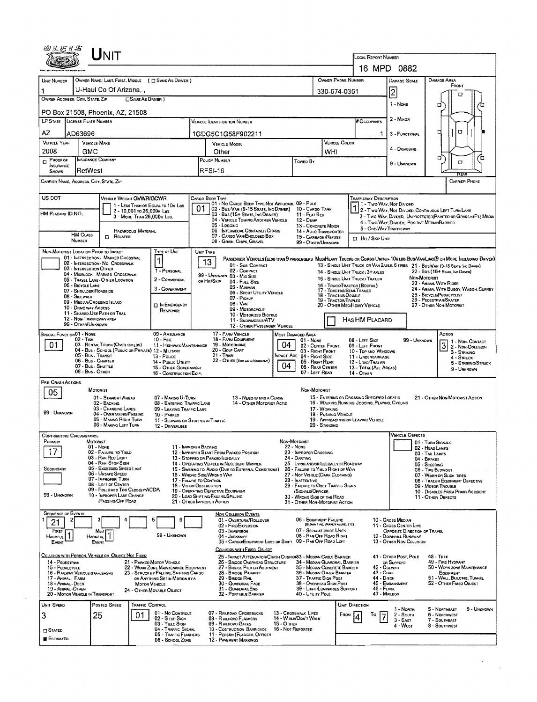|                                                              |                                                                                   |                                                                                                            |                                                                   |                                                                                                                              |                                  |                                                                                            |                                             | LOCAL REPORT NUMBER                                                              | 16 MPD 0882                                                                                                       |                                                                                                                                                                                                                     |  |  |  |  |  |
|--------------------------------------------------------------|-----------------------------------------------------------------------------------|------------------------------------------------------------------------------------------------------------|-------------------------------------------------------------------|------------------------------------------------------------------------------------------------------------------------------|----------------------------------|--------------------------------------------------------------------------------------------|---------------------------------------------|----------------------------------------------------------------------------------|-------------------------------------------------------------------------------------------------------------------|---------------------------------------------------------------------------------------------------------------------------------------------------------------------------------------------------------------------|--|--|--|--|--|
| UNIT NUMBER                                                  |                                                                                   | OWNER NAME: LAST, FIRST, MIDDLE ( C SAME AS DRIVER )                                                       |                                                                   |                                                                                                                              |                                  |                                                                                            | <b>OWNER PHONE NUMBER</b>                   |                                                                                  | <b>DAMAGE SCALE</b>                                                                                               | <b>DAMAGE AREA</b>                                                                                                                                                                                                  |  |  |  |  |  |
| 1                                                            | U-Haul Co Of Arizona, ,                                                           |                                                                                                            |                                                                   |                                                                                                                              |                                  |                                                                                            | 330-674-0361                                |                                                                                  | $\overline{2}$                                                                                                    | FRONT                                                                                                                                                                                                               |  |  |  |  |  |
| OWNER ADDRESS: CITY, STATE, ZIP                              |                                                                                   | <b>CISAME AS DRIVER</b> )                                                                                  |                                                                   |                                                                                                                              |                                  |                                                                                            |                                             |                                                                                  | 1 - None                                                                                                          | ם<br>o                                                                                                                                                                                                              |  |  |  |  |  |
|                                                              | PO Box 21508, Phoenix, AZ, 21508                                                  |                                                                                                            |                                                                   |                                                                                                                              |                                  |                                                                                            |                                             |                                                                                  |                                                                                                                   |                                                                                                                                                                                                                     |  |  |  |  |  |
|                                                              | LP STATE LICENSE PLATE NUMBER                                                     |                                                                                                            |                                                                   | <b>VEHICLE IDENTIFICATION NUMBER</b>                                                                                         |                                  |                                                                                            |                                             | # Occupants                                                                      | 2 - Minor                                                                                                         |                                                                                                                                                                                                                     |  |  |  |  |  |
| AZ<br><b>VEHICLE YEAR</b>                                    | AD63696                                                                           |                                                                                                            |                                                                   | 1GDG5C1G58F902211                                                                                                            |                                  |                                                                                            | VEHICLE COLOR                               |                                                                                  | 3 - FUNCTIONAL                                                                                                    | O<br>е                                                                                                                                                                                                              |  |  |  |  |  |
| 2008                                                         | <b>VEHICLE MAKE</b><br>GMC                                                        |                                                                                                            |                                                                   | <b>VEHICLE MODEL</b><br>Other                                                                                                |                                  | WHI                                                                                        |                                             | 4 - DISABLING                                                                    |                                                                                                                   |                                                                                                                                                                                                                     |  |  |  |  |  |
| <b>INSURANCE COMPANY</b><br>$D$ Proof or<br><b>INSURANCE</b> |                                                                                   |                                                                                                            |                                                                   | POLICY NUMBER<br>Towep By                                                                                                    |                                  |                                                                                            |                                             |                                                                                  | 9 - UNKNOWN                                                                                                       | Π,<br>o<br>O                                                                                                                                                                                                        |  |  |  |  |  |
| SHOWN                                                        | RetWest                                                                           |                                                                                                            | <b>RFSI-16</b>                                                    |                                                                                                                              |                                  |                                                                                            |                                             |                                                                                  |                                                                                                                   |                                                                                                                                                                                                                     |  |  |  |  |  |
|                                                              | CARRIER NAME, ADDRESS, CITY, STATE, ZIP                                           |                                                                                                            |                                                                   |                                                                                                                              |                                  |                                                                                            |                                             |                                                                                  |                                                                                                                   | <b>CARRIER PHONE</b>                                                                                                                                                                                                |  |  |  |  |  |
| US DOT                                                       |                                                                                   | VEHICLE WEIGHT GVWR/GCWR                                                                                   | CARGO BODY TYPE                                                   | 01 - No CARGO BODY TYPE/NOT APPLICABL 09 - PDLE                                                                              |                                  |                                                                                            |                                             | Trafficway Description<br>1 - Two-Way, Not Divided<br>1 2 - Two-Way, Not Divided |                                                                                                                   |                                                                                                                                                                                                                     |  |  |  |  |  |
| HM PLACARD ID NO.                                            |                                                                                   | 1 - LESS THAN OR EQUAL TO 10K LBS<br>2 - 10,001 to 26,000x Las<br>3 - MORE THAN 26,000K LBS.               |                                                                   | 02 - Bus/VAN (9-15 SEATS, ING DRIVER) 10 - CARGO TANK<br>03 - Bus (16+ SEATS, INC DRAVER)                                    |                                  | 11 - FLAT BED                                                                              |                                             |                                                                                  |                                                                                                                   | 2 - T WO-WAY, NOT DIVIDED, CONTINUOUS LEFT TURN LANE                                                                                                                                                                |  |  |  |  |  |
|                                                              |                                                                                   |                                                                                                            |                                                                   | 04 - VEHICLE TOWING ANOTHER VEHICLE<br>05 - Logging                                                                          |                                  | 12 - Duse<br>13 - CONCRETE MIXER                                                           |                                             |                                                                                  | 3 - Two-WAY, DIVIDED, UNPROTECTED (PAINTED OR GRASS >4FT.) MEDIA<br>4 - Two-Way, Divideo, Positive Median Barrier |                                                                                                                                                                                                                     |  |  |  |  |  |
|                                                              | <b>HM CLASS</b><br><b>IT RELATED</b><br><b>NUMBER</b>                             | <b>HAZAROOUS MATERIAL</b>                                                                                  |                                                                   | 06 - INTERMODAL CONTAINER CHASIS<br>07 - CARGO VAN/ENCLOSEO BOX<br>08 - GRAIN, CHIPS, GRAVEL                                 |                                  | 14 - AUTO TRANSPORTER<br>15 - GARBAGE / REFUSE<br>99 - OTHER/UNKNOWN                       |                                             | 5 - ONE-WAY TRAFFICWAY<br>CI Hit / Skip UNIT                                     |                                                                                                                   |                                                                                                                                                                                                                     |  |  |  |  |  |
|                                                              | NON-MOTORIST LOCATION PRIOR TO IMPACT                                             | TYPE OF USE                                                                                                | UNIT TYPE                                                         |                                                                                                                              |                                  |                                                                                            |                                             |                                                                                  |                                                                                                                   |                                                                                                                                                                                                                     |  |  |  |  |  |
|                                                              | 01 - INTERSECTION - MARKED CROSSWAL<br>02 - INTERSECTION NO CROSSWALK             | $\mathbf{1}$                                                                                               | 13                                                                | 01 - Sua Compact                                                                                                             |                                  |                                                                                            |                                             |                                                                                  |                                                                                                                   | PASSENGER VEHICLES (LESS THAN 9 PASSENGERS MED/HEAVY TRUCKS OR COMSO UNITS > 10K LBS BUS/VAV/LIMO(9 OR MORE INCLUDING DRIVER)<br>13 - SINGLE UNIT TRUCK OR VAN ZAXLE, 6 TIRES 21 - BUS/VAN (9-15 SEATS, INC DRIVER) |  |  |  |  |  |
|                                                              | 03 - INTERSECTION OTHER<br>04 - MIDBLOCK - MARKED CROSSWALK                       | 1 - PERSONAL<br>2 - COMMERCIAL                                                                             |                                                                   | 02 - COMPACT<br>99 - UNKNOWN 03 - MIO SIZE                                                                                   |                                  |                                                                                            |                                             | 14 - SINGLE UNIT TRUCK; 3+ AXLES<br>15 - SINGLE UNIT TRUCK / TRAILER             | <b>Non-Moториат</b>                                                                                               | 22 - BUS (16+ SEATS, INC DRIVER)                                                                                                                                                                                    |  |  |  |  |  |
|                                                              | 05 - TRAVEL LANE - O THER LOCATION<br>06 - BICYCLE LANE<br>07 - SHOULDER/ROADSIDE | 3 - GOVERNMENT                                                                                             | or Hit/Skip                                                       | 04 FULL SIZE<br>05 - MINIVAN                                                                                                 |                                  |                                                                                            | 17 - TRACTOR/SEMI-TRAILER                   | 16 - TRUCK/TRACTOR (BOBTAIL)                                                     | 23 - ANIMAL WITH RIDER<br>24 - ANIMAL WITH BUGGY, WAGON, SURREY                                                   |                                                                                                                                                                                                                     |  |  |  |  |  |
|                                                              | 08 - SIDEWALK<br>09 - MEDIAN CROSSING ISLAND                                      |                                                                                                            |                                                                   | 06 - SPORT UTILITY VEHICLE<br>07 - PICKUP                                                                                    |                                  |                                                                                            | 18 - TRACTOR/DOUBLE<br>19 - TRACTOR/TRIPLES | 25 - BICYCLE/PEDACYCLIST<br>26 - PEDESTRIAN/SKATER                               |                                                                                                                   |                                                                                                                                                                                                                     |  |  |  |  |  |
|                                                              | 10 - DRIVE WAY ACCESS<br>11 - SHARED-USE PATH OR TRAS                             | <b>DIN EMERGENCY</b><br>RESPONSE                                                                           |                                                                   | 08 - VAN<br>09 - MOTORCYCLE<br>10 - MOTORIZED BICYCLE                                                                        |                                  |                                                                                            |                                             | 20 - OTHER MEO/HEAVY VEHICLE                                                     |                                                                                                                   | 27 - OTHER NON-MOTORIST                                                                                                                                                                                             |  |  |  |  |  |
|                                                              | 12 - NON-TRAFFICWAY AREA<br>99 - OTHER/UNKNOWN                                    |                                                                                                            |                                                                   | 11 - SNOWMOBILE/ATV<br>12 - OTHER PASSENGER VEHICLE                                                                          |                                  |                                                                                            |                                             | HAS HM PLACARD                                                                   |                                                                                                                   |                                                                                                                                                                                                                     |  |  |  |  |  |
| <b>SPECIAL FUNCTION 01 - NONE</b>                            | 02 - Taxi                                                                         | 09 - AMBULANCE<br>$10 - F_{IRE}$                                                                           |                                                                   | 17 - FARM VEHICLE<br>18 - FARM EQUIPMENT                                                                                     | <b>MOST DAMAGED AREA</b>         | $01 - None$                                                                                |                                             | 08 - LEFT SIDE                                                                   | 99 - UNKNOWN                                                                                                      | Action                                                                                                                                                                                                              |  |  |  |  |  |
| 01                                                           | 03 - RENTAL TRUCK (OVER 10KLBS)                                                   | 11 - HIGHWAY/MAINTENANCE<br>04 - Bus - School (Public or Private) 12 - Military                            |                                                                   | 19 - Мотовноме<br>20 - GOLF CART                                                                                             | 04                               | 02 - CENTER FRONT<br>03 - Right Front                                                      |                                             | 09 - LEFT FRONT<br>10 - Top and Windows                                          |                                                                                                                   | 1 - Non Contact<br>$\overline{3}$<br>2 - Non-Collision<br>$3 -$ Striking                                                                                                                                            |  |  |  |  |  |
|                                                              | 05 - Bus Transit<br>06 - Bus. Charter                                             | 13 - Pouce<br>14 - Pualic Utility                                                                          |                                                                   | $21 -$ TRAN<br>22 - OTHER (EXPLAN IN NARRATIVE)                                                                              |                                  | MPACT ARE 04 - RIGHT SIDE<br>05 - RIGHT REAR                                               |                                             | 11 - UNDERCARRIAGE<br>12 - LOAO/TRAILER                                          |                                                                                                                   | 4 - STRUCK<br>5 - STRIKING/STRUCK                                                                                                                                                                                   |  |  |  |  |  |
|                                                              | 07 - Bus - SHUTTLE<br>08 - Bus - OTHER                                            | 15 - OTHER GOVERNMENT<br>16 - CONSTRUCTION EQIP.                                                           |                                                                   |                                                                                                                              | 04                               | 06 - REAR CENTER<br>07 - LEFT REAR                                                         |                                             | 13 - TOTAL (ALL AREAS)<br>14 - Other                                             |                                                                                                                   | 9 - UNKNOWN                                                                                                                                                                                                         |  |  |  |  |  |
| PRE-CRASH ACTIONS                                            | MOTORIST                                                                          |                                                                                                            |                                                                   |                                                                                                                              |                                  | NON-MOTORIST                                                                               |                                             |                                                                                  |                                                                                                                   |                                                                                                                                                                                                                     |  |  |  |  |  |
| 05                                                           | 01 - STRAIGHT AHEAD                                                               | 07 - MAKING U-TURN                                                                                         |                                                                   | 13 - Negotiating a Curve                                                                                                     |                                  |                                                                                            |                                             | 15 - ENTERING OR CROSSING SPECIFIED LOCATIO                                      |                                                                                                                   | 21 - OTHER NON-MOTORIST ACTION                                                                                                                                                                                      |  |  |  |  |  |
| 99 - UNKNOWN                                                 | 02 - BACKING<br>03 - CHANGING LANES<br>04 - OVERTAKING/PASSING                    | 08 - ENTERING TRAFFIC LANE<br>09 - LEAVING TRAFFIC LANE<br>10 - PARKEO                                     | 14 - OTHER MOTORIST ACTIO<br>17 - WORKING<br>18 - PUSHING VEHICLE |                                                                                                                              |                                  |                                                                                            |                                             | 16 - WALKING, RUNNING, JOGGING, PLAYING, CYCLING                                 |                                                                                                                   |                                                                                                                                                                                                                     |  |  |  |  |  |
|                                                              | 05 - MAKING RIGHT TURN<br>06 - MAKING LEFT TURN                                   | 11 - SLOWING OR STOPPED IN TRAFFIC<br>12 - DRIVERLESS                                                      |                                                                   |                                                                                                                              |                                  | 20 - Standing                                                                              |                                             | 19 - APPROACHING OR LEAVING VEHICLE                                              |                                                                                                                   |                                                                                                                                                                                                                     |  |  |  |  |  |
| <b>CONTRIBUTING CIRCUMSTANCE</b>                             |                                                                                   |                                                                                                            |                                                                   |                                                                                                                              |                                  |                                                                                            |                                             |                                                                                  | VEHICLE DEFECTS                                                                                                   |                                                                                                                                                                                                                     |  |  |  |  |  |
| PRIMARY<br>17                                                | <b>MOTORIST</b><br>01 - Nome                                                      |                                                                                                            | 11 - IMPROPER BACKING                                             |                                                                                                                              | NON-MOTORIST<br>22 - NONE        |                                                                                            |                                             |                                                                                  |                                                                                                                   | 01 - TURN SIGNALS<br>02 - HEAD LAMPS                                                                                                                                                                                |  |  |  |  |  |
|                                                              | 02 - FAILURE TO YIELD<br>03 - RAN REO LIGHT<br>04 - RAN STOP SIGN                 |                                                                                                            |                                                                   | 12 - IMPROPER START FROM PARKEO POSITION<br>13 - STOPPED OR PARKED LLEGALLY<br>14 - OPERATING VEHICLE IN NEGLIGENT MANNER    |                                  | 23 - IMPROPER CROSSING<br>24 - DARTING<br>25 - LYING ANDIOR ILLEGALLY IN ROADWAY           |                                             |                                                                                  |                                                                                                                   | 03 - TAIL LAMPS<br>$04 - B_{RAKES}$                                                                                                                                                                                 |  |  |  |  |  |
| SECONOARY                                                    | 05 - Exceeded Speed Laar<br>06 - Unsafe Speed                                     |                                                                                                            | 16 - WRONG SIDE/WRONG WAY                                         | 15 - Swering to Avoid (Due to External Conditions)                                                                           |                                  | 26 - FALURE TO YIELD RIGHT OF WAY<br>27 - Not Visible (DARK CLOTHING)                      |                                             |                                                                                  |                                                                                                                   | 05 - STEERING<br>06 - TIRE BLOWOUT<br>07 - WORN OR SLICK TIRES                                                                                                                                                      |  |  |  |  |  |
|                                                              | 07 - IMPROPER TURN<br>08 - LEFT OF CENTER                                         |                                                                                                            | 17 - FALURE TO CONTROL<br>18 - VISION OBSTRUCTION                 |                                                                                                                              |                                  | 28 - INATTENTIVE<br>29 - FAILURE TO OBEY TRAFFIC SIGNS                                     |                                             |                                                                                  |                                                                                                                   | 08 - TRALER EQUIPMENT DEFECTIVE<br>09 - MOTOR TROUBLE                                                                                                                                                               |  |  |  |  |  |
| 99 - UNKNOWN                                                 | 09 - FOLLOWED TOO CLOSELY/ACDA<br>10 - IMPROPER LANE CHANGE                       |                                                                                                            |                                                                   | 19 - OPERATING DEFECTIVE EQUIPMENT<br>/SIGNALS/OFFICER<br>20 - LOAD SHIFTING/FALLING/SPILLING<br>30 - WRONG SIDE OF THE ROAD |                                  |                                                                                            |                                             |                                                                                  | 10 - DISABLEO FROM PRIOR ACCIDENT<br>11 - OTHER DEFECTS                                                           |                                                                                                                                                                                                                     |  |  |  |  |  |
|                                                              | <b>(PASSING/OFF ROAD)</b>                                                         |                                                                                                            | 21 - OTHER IMPROPER ACTION                                        |                                                                                                                              |                                  | 31 - OTHER NON-MOTORIST ACTION                                                             |                                             |                                                                                  |                                                                                                                   |                                                                                                                                                                                                                     |  |  |  |  |  |
| <b>SEQUENCE OF EVENTS</b><br>2<br>21                         | з                                                                                 | 5<br>6                                                                                                     |                                                                   | <b>NON-COLLISION EVENTS</b><br>01 - OVERTURN/ROLLOVER                                                                        |                                  | 06 - EQUIPMENT FAILURE                                                                     |                                             |                                                                                  | 10 - Cross Median                                                                                                 |                                                                                                                                                                                                                     |  |  |  |  |  |
| Finst<br>HARMFUL <sup>1</sup>                                | Mest                                                                              | 99 - Unknown                                                                                               |                                                                   | 02 - FIRE/EXPLOSION<br>03 - IMMERSION                                                                                        |                                  | 07 - Separation of Units<br>08 - RAN OFF ROAD RIGHT                                        | (BLOWN TIRE, BRAKE FARURE, ETC)             |                                                                                  | 11 - Cross Center Line<br>OPPOSITE DIRECTION OF TRAVEL                                                            |                                                                                                                                                                                                                     |  |  |  |  |  |
| Event                                                        | <b>HARMFUL</b><br>EVENT                                                           |                                                                                                            |                                                                   | 04 - JACKKNIFE<br>05 - CARGO/EOUIPMENT LOSS OR SHIFT 09 - RAN OFF ROAD LEFT                                                  |                                  |                                                                                            |                                             |                                                                                  | 12 - DOWNHEL RUNAWAY<br>13 - OTHER NON-COLLISION                                                                  |                                                                                                                                                                                                                     |  |  |  |  |  |
|                                                              | COLLISION WITH PERSON, VEHICLE OR OBJECT NOT FIXED                                |                                                                                                            |                                                                   | COLLISION WITH FIXED. OBJECT<br>25 - IMPACT ATTENUATOR/CRASH CUSHIONS3 - MEDIAN CABLE BARRIER                                |                                  |                                                                                            |                                             |                                                                                  | 41 - OTHER POST, POLE                                                                                             | 48 - TREE                                                                                                                                                                                                           |  |  |  |  |  |
| 14 - PEDESTRIAN<br>15 - PEDALCYCLE                           |                                                                                   | 21 - PARKED MOTOR VEHICLE<br>22 - WORK ZONE MAINTENANCE EQUIPMENT<br>23 - STRUCK BY FALLING, SHETING CARGO |                                                                   | 26 - BRIDGE OVERHEAD STRUCTURE<br>27 - BRIDGE PIER OR ABUTMENT<br>28 - BROGE PARAPET                                         |                                  | 34 - MEDIAN GUARDRAIL BARRIER<br>35 - MEQUAN CONCRETE BARRIER<br>36 - MEDIAN OTHER BARRIER |                                             | 43 - Cuns                                                                        | OR SUPPORT<br>42 - CULVERT                                                                                        | 49 - FIRE HYDRANT<br>50 - WORK ZONE MAINTENANCE<br>EQUIPMENT                                                                                                                                                        |  |  |  |  |  |
| 17 - ANIMAL - FARM<br>18 - Animal - Deer                     | 16 - RAILWAY VEHICLE (TRAN. ENGINE)                                               | OR ANYTHING SET IN MOTION BY A<br>MOTOR VEHICLE                                                            |                                                                   | 29 - BRIDGE RAIL<br>30 - GUARDRAIL FACE                                                                                      |                                  | 37 - TRAFFIC SIGN POST<br>38 - Overhead Sign Post                                          |                                             | 44 - Опсн                                                                        | 45 - Емвалкмент                                                                                                   | 51 - WALL, BUILONG, TUNNEL<br>52 - OTHER FIXED OBJECT                                                                                                                                                               |  |  |  |  |  |
| 19 - ANIMAL-OTHER                                            | 20 - MOTOR VEHICLE IN TRANSPORT                                                   | 24 - OTHER MOVABLE OBJECT                                                                                  |                                                                   | 31 - GUARDRAILEND<br>32 - PORTABLE BARRIER                                                                                   |                                  | 39 - LIGHT/LUMINARIES SUPPORT<br>40 - UTILITY POLE                                         |                                             | 46 - FENCE                                                                       | 47 - MAILBOX                                                                                                      |                                                                                                                                                                                                                     |  |  |  |  |  |
| UNIT SPEED                                                   | Posteo Speeo                                                                      | TRAFFIC CONTROL                                                                                            |                                                                   |                                                                                                                              |                                  |                                                                                            |                                             | UNIT DIRECTION                                                                   | 1 - North                                                                                                         | 9 - Unknown<br>5 - Northeast                                                                                                                                                                                        |  |  |  |  |  |
| 3                                                            | 25                                                                                | 01 - No CONTROLS<br>01<br>02 - S rop Stew                                                                  |                                                                   | 07 - RAILROAD CROSSBUCKS<br>08 - RAILROAD FLASHERS                                                                           |                                  | 13 - CROSSWALK LINES<br>14 - WALK/DON'T WALK                                               | FROM                                        | To                                                                               | 2 - South<br>$3 - E$ AST                                                                                          | 6 - NORTHWEST<br>7 - SOUTHEAST                                                                                                                                                                                      |  |  |  |  |  |
| $\square$ States                                             |                                                                                   | 03 - Yield Sign<br>04 - TRAFFIC SIGNAL                                                                     |                                                                   | 09 - RAILROAD GATES<br>10 - Costruction Barricade                                                                            | 15 - O THER<br>16 - Not Reported |                                                                                            |                                             |                                                                                  | 4 - West                                                                                                          | 8 - Southwest                                                                                                                                                                                                       |  |  |  |  |  |
| <b>ESTIMATED</b>                                             |                                                                                   | 05 - TRAFFIC FLASHERS<br>06 - SCHOOL ZONE                                                                  |                                                                   | 11 - PERSON (FLAGGER, OFFICER<br>12 - PAVEMENT MARKINGS                                                                      |                                  |                                                                                            |                                             |                                                                                  |                                                                                                                   |                                                                                                                                                                                                                     |  |  |  |  |  |

 $\frac{1}{2}$  ,  $\frac{1}{2}$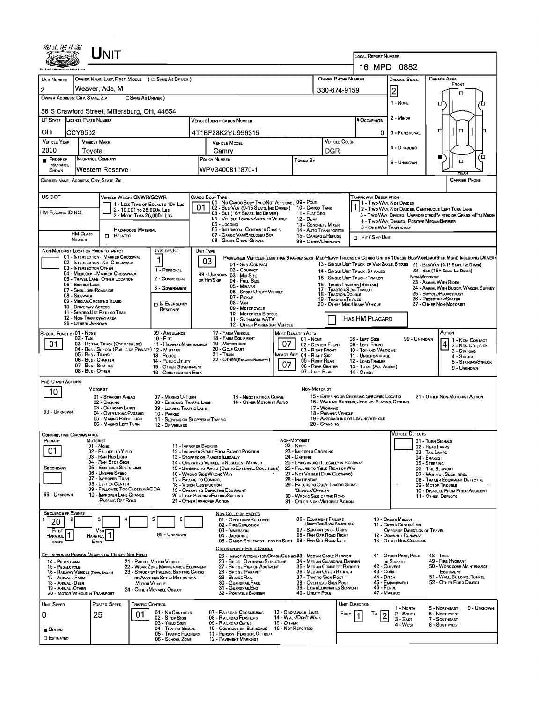|                                          | ${\sf UnIT}$                                                                                     |                                                                                                             |                                                           |                                                                                                              |                                                                                                                             |                                       |                                                                                                                                                                     |                                                                                                                          |                                                                                |                                                        |                                                                                                                                                                                                                    |  |  |  |
|------------------------------------------|--------------------------------------------------------------------------------------------------|-------------------------------------------------------------------------------------------------------------|-----------------------------------------------------------|--------------------------------------------------------------------------------------------------------------|-----------------------------------------------------------------------------------------------------------------------------|---------------------------------------|---------------------------------------------------------------------------------------------------------------------------------------------------------------------|--------------------------------------------------------------------------------------------------------------------------|--------------------------------------------------------------------------------|--------------------------------------------------------|--------------------------------------------------------------------------------------------------------------------------------------------------------------------------------------------------------------------|--|--|--|
|                                          |                                                                                                  |                                                                                                             |                                                           | LOCAL REPORT NUMBER                                                                                          |                                                                                                                             |                                       |                                                                                                                                                                     |                                                                                                                          |                                                                                |                                                        |                                                                                                                                                                                                                    |  |  |  |
|                                          |                                                                                                  |                                                                                                             |                                                           |                                                                                                              |                                                                                                                             |                                       |                                                                                                                                                                     |                                                                                                                          | 16 MPD 0882                                                                    |                                                        |                                                                                                                                                                                                                    |  |  |  |
| UNIT NUMBER                              | OWNER NAME: LAST, FIRST, MIDDLE ( C SAME AS DRIVER )<br>Weaver, Ada, M                           |                                                                                                             |                                                           |                                                                                                              |                                                                                                                             | OWNER PHONE NUMBER                    |                                                                                                                                                                     | <b>DAMAGE SCALE</b>                                                                                                      |                                                                                | <b>DAMAGE AREA</b><br>FRONT                            |                                                                                                                                                                                                                    |  |  |  |
| 2<br>OWNER ADDRESS: CITY, STATE, ZIP     |                                                                                                  | <b>CONNE AS DRIVER</b>                                                                                      |                                                           |                                                                                                              |                                                                                                                             |                                       | $\overline{c}$<br>330-674-9159<br>n                                                                                                                                 |                                                                                                                          |                                                                                |                                                        |                                                                                                                                                                                                                    |  |  |  |
|                                          | 56 S Crawford Street, Millersburg, OH, 44654                                                     |                                                                                                             |                                                           |                                                                                                              |                                                                                                                             |                                       |                                                                                                                                                                     |                                                                                                                          | 1 - NONE                                                                       |                                                        | ▫                                                                                                                                                                                                                  |  |  |  |
|                                          | LP STATE LICENSE PLATE NUMBER                                                                    |                                                                                                             | Vehicle (dentification Number                             |                                                                                                              | 2 - MINOR<br><b>H</b> Occupants                                                                                             |                                       |                                                                                                                                                                     |                                                                                                                          |                                                                                |                                                        |                                                                                                                                                                                                                    |  |  |  |
| он                                       | CCY9502                                                                                          |                                                                                                             | 4T1BF28K2YU956315                                         |                                                                                                              |                                                                                                                             |                                       |                                                                                                                                                                     | o                                                                                                                        | 3 - FUNCTIONAL                                                                 |                                                        | O<br>□                                                                                                                                                                                                             |  |  |  |
| <b>VEHICLE YEAR</b>                      | <b>VEHICLE MAKE</b>                                                                              |                                                                                                             |                                                           | <b>VEHICLE MODEL</b>                                                                                         |                                                                                                                             | VEHICLE COLOR                         |                                                                                                                                                                     | 4 - DISABLING                                                                                                            |                                                                                |                                                        |                                                                                                                                                                                                                    |  |  |  |
| 2000<br>PROOF OF                         | Tovota<br><b>INSURANCE COMPANY</b>                                                               |                                                                                                             |                                                           | Camry<br>POLICY NUMBER                                                                                       | Toweo By                                                                                                                    | DGR                                   |                                                                                                                                                                     |                                                                                                                          |                                                                                | Έ                                                      |                                                                                                                                                                                                                    |  |  |  |
| <b>INSURANCE</b><br><b>SHOWN</b>         | Western Reserve                                                                                  |                                                                                                             |                                                           | WPV3400811870-1                                                                                              |                                                                                                                             |                                       | $\Box$<br>9 - UNKNOWN                                                                                                                                               |                                                                                                                          |                                                                                |                                                        |                                                                                                                                                                                                                    |  |  |  |
|                                          | CARRIER NAME, ADDRESS, CITY, STATE, ZIP                                                          |                                                                                                             |                                                           |                                                                                                              |                                                                                                                             |                                       |                                                                                                                                                                     | REAR<br><b>CARRIER PHONE</b>                                                                                             |                                                                                |                                                        |                                                                                                                                                                                                                    |  |  |  |
| US DOT                                   |                                                                                                  |                                                                                                             |                                                           |                                                                                                              |                                                                                                                             |                                       |                                                                                                                                                                     |                                                                                                                          |                                                                                |                                                        |                                                                                                                                                                                                                    |  |  |  |
|                                          | <b>VEHICLE WEIGHT GVWR/GCWR</b>                                                                  | 1 - LESS THAN OR EQUAL TO 10K LBS                                                                           | 01                                                        | CARGO BODY TYPE<br>01 - No Cargo Body Type/Not Applicabl 09 - Pole<br>02 - Bus/ Van (9-15 Seats, Inc Driver) |                                                                                                                             | 10 - CARGO TANK                       |                                                                                                                                                                     | <b>TRAFFICWAY DESCRIPTION</b><br>1 - Two-Way, Not Divideo                                                                |                                                                                |                                                        |                                                                                                                                                                                                                    |  |  |  |
| HM PLACARD ID NO.                        | 2 - 10,001 to 26,000 k Las<br>3 - MORE THAN 26,000K LBS.                                         |                                                                                                             |                                                           | 03 - Bus (16+ Seats, Inc Driver)<br>04 - VEHICLE TOWING ANOTHER VEHICLE                                      |                                                                                                                             | 11 - FLAT BEO<br>12 - Dune            |                                                                                                                                                                     |                                                                                                                          |                                                                                |                                                        | 1 2 - Two-Way, Not Divided, Continuous Left Turn Lane<br>3 - Two-Way, Divided, Unprotected (Painted or Grass >4FT.) Media                                                                                          |  |  |  |
|                                          | <b>HAZARDOUS MATERIAL</b>                                                                        |                                                                                                             |                                                           | 05 - Locging<br>06 - INTERMOOAL CONTAINER CHASIS                                                             |                                                                                                                             | 13 - CONCRETE MIXER                   | 14 - AUTO TRANSPORTER                                                                                                                                               |                                                                                                                          | 4 - Two-WAY, DIVIDED, POSITIVE MEDIAN BARRIER<br>5 - ONE-WAY TRAFFICWAY        |                                                        |                                                                                                                                                                                                                    |  |  |  |
|                                          | <b>HM CLASS</b><br>RELATEO<br><b>NUMBER</b>                                                      |                                                                                                             |                                                           | 07 - CARGO VAN/ENCLOSED BOX<br>08 - Grain, Chips, Gravel                                                     |                                                                                                                             | 99 - OTHER/UNKNOWN                    | 15 - GARBAGE / REFUSE                                                                                                                                               | <b>D</b> Hit / Skip UNIT                                                                                                 |                                                                                |                                                        |                                                                                                                                                                                                                    |  |  |  |
|                                          | NON-MOTORIST LOCATION PRIDR TO IMPACT                                                            | TYPE OF USE                                                                                                 | UNIT TYPE                                                 |                                                                                                              |                                                                                                                             |                                       |                                                                                                                                                                     |                                                                                                                          |                                                                                |                                                        |                                                                                                                                                                                                                    |  |  |  |
|                                          | 01 - INTERSECTION MARKED CROSSWAL<br>02 - INTERSECTION - NO CROSSWALK<br>03 - INTERSECTION OTHER |                                                                                                             |                                                           | 03<br>01 - Sub-COMPACT                                                                                       |                                                                                                                             |                                       |                                                                                                                                                                     |                                                                                                                          |                                                                                |                                                        | PASSENGER VEHICLES (LESS THAN 9 PASSENGERS MEDIHEAVY TRUCKS OR COMBO UNITS » 10K LES BUS/VAN/LIMO(9 OR MORE INCLUDING DRIVER)<br>13 - SINGLE UNIT TRUCK OR VAN ZAXLE, 6 TRES 21 - BUS/VAN (9-15 SEATS, INC DRIVER) |  |  |  |
|                                          | 04 - MIDBLOCK - MARKED CROSSWALK<br>05 - TRAVEL LANE - OTHER LOCATION                            | 1 - PERSONAL<br>2 - COMMERCIAL                                                                              | 02 - COMPACT<br>99 - UNKNOWN 03 - MID SIZE<br>OR HIT/SKIP |                                                                                                              |                                                                                                                             |                                       |                                                                                                                                                                     | 22 - Bus (16+ Seats, Inc Driver)<br>14 - SINGLE UNIT TRUCK: 3+ AXLES<br>NON-MOTORIST<br>15 - SINGLE UNIT TRUCK / TRAILER |                                                                                |                                                        |                                                                                                                                                                                                                    |  |  |  |
|                                          | 06 - BICYCLE LANE<br>07 - SHOULDER/ROADSIDE                                                      | 3 - GOVERNMENT                                                                                              |                                                           | 04 - Full Size<br>05 - MINIVAN<br>06 - SPORT UTILITY VEHICLE                                                 |                                                                                                                             |                                       | 23 - ANMAL WITH RIDER<br>16 - Твиск/Твастов (Вовтад)<br>24 - ANMAL WITH BUGGY, WAGON, SURREY<br>17 - TRACTOR/SEMI-TRAILER                                           |                                                                                                                          |                                                                                |                                                        |                                                                                                                                                                                                                    |  |  |  |
|                                          | 08 - SIDEWALK<br>09 - MEDIAN/CROSSING ISLAND                                                     | IN EMERGENCY                                                                                                |                                                           | 07 - Pickup<br>08 - Van                                                                                      |                                                                                                                             |                                       | 25 - BICYCLE/PEOACYCLIST<br>18 - Tractor/Double<br>26 - PEDESTRIAN/SKATER<br><b>19 - TRACTOR/TRIPLES</b><br>20 - OTHER MEDIHEAVY VEHICLE<br>27 - OTHER NON-MOTORIST |                                                                                                                          |                                                                                |                                                        |                                                                                                                                                                                                                    |  |  |  |
|                                          | 10 - DRIVE WAY ACCESS<br>11 - SHARED-USE PATH OR TRAIL                                           | RESPONSE                                                                                                    |                                                           | 09 - MOTORCYCLE<br>10 - MOTORIZED BICYCLE                                                                    |                                                                                                                             |                                       |                                                                                                                                                                     |                                                                                                                          |                                                                                |                                                        |                                                                                                                                                                                                                    |  |  |  |
|                                          | 12 - NON-TRAFFICWAY AREA<br>99 - OTHER/UNKNOWN                                                   |                                                                                                             |                                                           | 11 - SNOWMOBLE/ATV<br>12 - OTHER PASSENGER VEHICLE                                                           |                                                                                                                             | Has HM Placard                        |                                                                                                                                                                     |                                                                                                                          |                                                                                |                                                        |                                                                                                                                                                                                                    |  |  |  |
| SPECIAL FUNCTION 01 - NONE               | $02 - T_{AX}$                                                                                    | 09 - AMBULANCE<br>$10 -$ Fire                                                                               |                                                           | 17 - FARM VEHICLE<br>18 - FARM EQUIPMENT                                                                     | MOST DAMAGED AREA                                                                                                           | $01 - None$                           |                                                                                                                                                                     | 08 - LEFT SIDE                                                                                                           |                                                                                | 99 - UNKNOWN                                           | ACTION<br>1 - Non Contact                                                                                                                                                                                          |  |  |  |
| 01                                       | 03 - RENTAL TRUCK (OVER 10KLBS)<br>04 - Bus - School (Public or Private) 12 - Military           | 11 - HIGHWAY/MAINTENANCE                                                                                    |                                                           | 19 - Мотовноме<br>20 - Golf Cart                                                                             | 07                                                                                                                          | 02 - CENTER FRONT<br>03 - RIGHT FRONT |                                                                                                                                                                     | 09 - LEFT FRONT<br>10 - TOP AND WINDOWS                                                                                  |                                                                                |                                                        | 2 - NON-COLLISION<br>3 - Striking                                                                                                                                                                                  |  |  |  |
|                                          | 05 - Bus - Transit<br>06 - Bus - Charter<br>07 - Bus - SHUTTLE                                   | 13 - Pouce<br>14 - Public Utility                                                                           |                                                           | 21 - Train<br>22 - OTHER (EXPLAIN IN NARRATIVE)                                                              | IMPACT ARE 04 - RIGHT SIDE<br>07                                                                                            |                                       | 11 - UNDERCARRIAGE<br>4 - STRUCK<br>05 - Right Rear<br>12 - LOAD/TRAILER<br>5 - STRIKING/STRUCK<br>06 - REAR CENTER<br>13 - TOTAL (ALL AREAS)                       |                                                                                                                          |                                                                                |                                                        |                                                                                                                                                                                                                    |  |  |  |
|                                          | 08 - Bus - OTHER                                                                                 | 15 - OTHER GOVERNMENT<br>16 - CONSTRUCTION EQIP.                                                            | 07 - LEFT REAR                                            |                                                                                                              |                                                                                                                             |                                       |                                                                                                                                                                     | 14 - Отнев                                                                                                               |                                                                                |                                                        | 9 - UNKNOWN                                                                                                                                                                                                        |  |  |  |
| PRE-CRASH ACTIONS                        | <b>MOTORIST</b>                                                                                  |                                                                                                             |                                                           |                                                                                                              |                                                                                                                             | NON-MOTORIST                          |                                                                                                                                                                     |                                                                                                                          |                                                                                |                                                        |                                                                                                                                                                                                                    |  |  |  |
| 10                                       | 01 - STRAIGHT AHEAD<br>02 - BACKING                                                              | 07 - MAKING U-TURN<br>08 - ENTERING TRAFFIC LANE                                                            |                                                           | 13 - NEGOTIATING A CURVE<br>14 - OTHER MOTORIST ACTIO                                                        |                                                                                                                             |                                       |                                                                                                                                                                     | 15 - ENTERING OR CROSSING SPECIFIED LOCATIO<br>16 - WALKING, RUNNING, JOGGING, PLAYING, CYCLING                          |                                                                                |                                                        | 21 - OTHER NON-MOTORIST ACTION                                                                                                                                                                                     |  |  |  |
| 99 - UNKNOWN                             | 03 - CHANGING LANES<br>04 - OVERTAKING/PASSING                                                   | 09 - LEAVING TRAFFIC LANE<br>10 - PARKED                                                                    |                                                           |                                                                                                              |                                                                                                                             |                                       | 17 - WORKING<br>18 - PUSHING VEHICLE                                                                                                                                |                                                                                                                          |                                                                                |                                                        |                                                                                                                                                                                                                    |  |  |  |
|                                          | 05 - MAKING RIGHT TURN<br>06 - MAKING LEFT TURN                                                  | 11 - Slowing or Stopped in Traffic<br>12 - DRIVERLESS                                                       |                                                           |                                                                                                              |                                                                                                                             |                                       | 20 - STANDING                                                                                                                                                       | 19 - APPROACHING OR LEAVING VEHICLE                                                                                      |                                                                                |                                                        |                                                                                                                                                                                                                    |  |  |  |
| <b>CONTRIBUTING CIRCUMSTANCE</b>         |                                                                                                  |                                                                                                             |                                                           |                                                                                                              |                                                                                                                             |                                       |                                                                                                                                                                     |                                                                                                                          | <b>VEHICLE DEFECTS</b>                                                         |                                                        |                                                                                                                                                                                                                    |  |  |  |
| PRIMARY<br>01                            | MOTORIST<br>01 - NONE<br>02 - FAILURE TO YIELD                                                   |                                                                                                             | 11 - IMPROPER BACKING                                     | 12 - IMPROPER START FROM PARKEO POSITION                                                                     | NON-MOTORIST<br><b>22 - NONE</b>                                                                                            | 23 - IMPROPER CROSSING                |                                                                                                                                                                     |                                                                                                                          |                                                                                | 02 - HEAD LAMPS                                        | 01 - TURN SIGNALS                                                                                                                                                                                                  |  |  |  |
|                                          | 03 - RAN RED LIGHT<br>04 - RAN STOP SIGN                                                         |                                                                                                             |                                                           | 13 - Stopped or Parked Illegally<br>14 - OPERATING VEHICLE IN NEGLIGENT MANNER                               | 24 - DARTING                                                                                                                |                                       | 25 - LYING AND/OR LLEGALLY IN ROADWAY                                                                                                                               |                                                                                                                          |                                                                                | 03 - TAIL LAMPS<br>04 - BRAKES<br>05 - STEERING        |                                                                                                                                                                                                                    |  |  |  |
| <b>SECONDARY</b>                         | 05 - Exceepeo Speeo Limit<br>06 - UNSAFE SPEED                                                   |                                                                                                             |                                                           | 15 - SWERING TO AVOID (DUE TO EXTERNAL CONDITIONS)<br>16 - WRONG SIDE/WRONG WAY                              |                                                                                                                             |                                       | 26 - FALURE TO YIELD RIGHT OF WAY<br>27 - Not Visible (DARK CLOTHING)                                                                                               |                                                                                                                          |                                                                                |                                                        | 06 - TIRE BLOWOUT<br>07 - WORN OR SLICK TIRES                                                                                                                                                                      |  |  |  |
|                                          | 07 - IMPROPER TURN<br>08 - LEFT OF CENTER                                                        |                                                                                                             | 17 - FALURE TO CONTROL<br>18 - VISION OBSTRUCTION         |                                                                                                              | 28 - INATTENTIVE                                                                                                            |                                       | 29 - FAILURE TO OBEY TRAFFIC SIGNS                                                                                                                                  |                                                                                                                          | $\epsilon$                                                                     |                                                        | 08 - TRAILER EQUIPMENT DEFECTIVE<br>09 - MOTOR TROUBLE                                                                                                                                                             |  |  |  |
| 99 - UNKNOWN                             | 09 - FOLLOWED TOO CLOSELY/ACDA<br>10 - IMPROPER LANE CHANGE                                      |                                                                                                             |                                                           | 19 - OPERATING DEFECTIVE EQUIPMENT<br>20 - LOAD SHIFTING/FALLING/SPILLING                                    |                                                                                                                             | /SIGNALS/OFFICER                      | 30 - WRONG SIDE OF THE ROAD                                                                                                                                         |                                                                                                                          |                                                                                |                                                        | 10 - DISABLED FROM PRIOR ACCIDENT<br>11 - OTHER DEFECTS                                                                                                                                                            |  |  |  |
|                                          | Passing/Off Road                                                                                 |                                                                                                             |                                                           | 21 - OTHER IMPROPER ACTION                                                                                   |                                                                                                                             |                                       | 31 - OTHER NON-MOTORIST ACTION                                                                                                                                      |                                                                                                                          |                                                                                |                                                        |                                                                                                                                                                                                                    |  |  |  |
| <b>SEQUENCE OF EVENTS</b><br>20          | з<br>4                                                                                           | 5<br>6                                                                                                      |                                                           | <b>NON-COLLISION EVENTS</b><br>01 - OVERTURN/ROLLOVER                                                        |                                                                                                                             |                                       | 06 - EQUIPMENT FAILURE<br>(BLOWN TIRE, BRAKE FAILURE, ETC)                                                                                                          |                                                                                                                          | 10 - Cross Median                                                              |                                                        |                                                                                                                                                                                                                    |  |  |  |
| First                                    | Most                                                                                             | 99 - UNKNOWN                                                                                                |                                                           | 02 - FIRE/EXPLOSION<br>03 - IMMERSION<br>04 - JACKKNIFE                                                      |                                                                                                                             |                                       | 07 - SEPARATION OF UNITS<br>08 - RAN OFF ROAD RIGHT                                                                                                                 |                                                                                                                          | 11 - Cross CENTER LINE<br>OPPOSITE DIRECTION OF TRAVEL<br>12 - DDWNHLL RUNAWAY |                                                        |                                                                                                                                                                                                                    |  |  |  |
| <b>HARMFUL</b><br>EVENT                  | <b>HARMFUL</b><br>EVENT                                                                          |                                                                                                             |                                                           | 05 - CARGO/EQUIPMENT LOSS OR SHIFT                                                                           |                                                                                                                             |                                       | 09 - RAN OFF ROAD LEFT                                                                                                                                              |                                                                                                                          | 13 - OTHER NON-COLLISION                                                       |                                                        |                                                                                                                                                                                                                    |  |  |  |
|                                          | COLLISION WITH PERSON, VEHICLE OR OBJECT NOT FIXED                                               |                                                                                                             |                                                           | COLLISION WITH FIXED, OBJECT<br>25 - IMPACT ATTENUATOR/CRASH CUSHION33 - MEDIAN CABLE BARRIER                |                                                                                                                             |                                       |                                                                                                                                                                     |                                                                                                                          | 41 - OTHER POST, POLE                                                          |                                                        | 48 - TREE                                                                                                                                                                                                          |  |  |  |
| 14 - PEDESTRIAN<br>15 - PEDALCYCLE       | 16 - RAILWAY VEHICLE (TRAIN, ENGINE)                                                             | 21 - PARKED MOTOR VEHICLE<br>22 - WORK ZONE MAINTENANCE EQUIPMENT<br>23 - STRUCK BY FALLING, SHIFTING CARGO |                                                           | 26 - BRIDGE OVERHEAD STRUCTURE<br>27 - BRIDGE PIER OR ABUTMENT<br>28 - BRIDGE PARAPET                        |                                                                                                                             |                                       | 34 - Median Guardrall Barrier<br>35 - MEDIAN CONCRETE BARRIER                                                                                                       |                                                                                                                          | OR SUPPORT<br>42 - Culvert                                                     |                                                        | 49 - FIRE HYDRANT<br>50 - WORK ZONE MAINTENANCE<br>EQUIPMENT                                                                                                                                                       |  |  |  |
| 17 - ANIMAL - FARM<br>18 - ANIMAL - DEER |                                                                                                  | OR ANYTHING SET IN MOTION BY A<br>MOTOR VEHICLE                                                             |                                                           | 29 - BRIDGE RAIL<br><b>30 - GUARDRAIL FACE</b>                                                               | 36 - MEDIAN OTHER BARRIER<br>43 - Cuns<br>37 - TRAFFIC SIGN POST<br>44 - Опсн<br>38 - OVERHEAD SIGN POST<br>45 - EMBANKMENT |                                       |                                                                                                                                                                     |                                                                                                                          |                                                                                | 51 - WALL, BUILDING, TUNNEL<br>52 - OTHER FIXED OBJECT |                                                                                                                                                                                                                    |  |  |  |
| 19 - ANIMAL OTHER                        | 20 - MOTOR VEHICLE IN TRANSPORT                                                                  | 24 - OTHER MOVABLE OBJECT                                                                                   |                                                           | 31 - GUARDRAILEND<br>32 - PORTABLE BARRIER                                                                   |                                                                                                                             | 40 - UTILITY POLE                     | 39 - LIGHT/LUMINARIES SUPPORT                                                                                                                                       |                                                                                                                          | 46 - FENCE<br>47 - MAILBOX                                                     |                                                        |                                                                                                                                                                                                                    |  |  |  |
| UNIT SPEED                               | POSTED SPEED                                                                                     | TRAFFIC CONTROL                                                                                             |                                                           |                                                                                                              |                                                                                                                             |                                       |                                                                                                                                                                     | <b>UNIT DIRECTION</b>                                                                                                    | 1 - North                                                                      |                                                        | 9 - UNKNOWN<br>5 - Northeast                                                                                                                                                                                       |  |  |  |
| 0                                        | 25<br>01                                                                                         | 01 - No CONTROLS<br>02 - S TOP SIGN                                                                         |                                                           | 07 - RAILROAD CROSSBUCKS<br>08 - RAILRDAD FLASHERS                                                           | 13 - Crosswalk Lines<br>14 - WALK/DON'T WALK                                                                                |                                       | Frow                                                                                                                                                                | Т٥                                                                                                                       | $2 -$ South<br>$3 - East$                                                      |                                                        | 6 - Northwest<br>7 - Southeast                                                                                                                                                                                     |  |  |  |
| STATED                                   |                                                                                                  | 03 - YIELD SIGN<br>04 - TRAFFIC SIGNAL                                                                      |                                                           | 09 - RALROAD GATES<br>10 - Costruction Barricade                                                             | $15 - O$ THER<br>16 - Not Reported                                                                                          |                                       |                                                                                                                                                                     |                                                                                                                          | 4 - WEST                                                                       |                                                        | 8 - SOUTHWEST                                                                                                                                                                                                      |  |  |  |
| <b>D</b> ESTIMATED                       |                                                                                                  | 05 - TRAFFIC FLASHERS<br>06 - SCHOOL ZONE                                                                   |                                                           | 11 - PERSON (FLAGGER, OFFICER<br><b>12 - PAVEMENT MARKINGS</b>                                               |                                                                                                                             |                                       |                                                                                                                                                                     |                                                                                                                          |                                                                                |                                                        |                                                                                                                                                                                                                    |  |  |  |